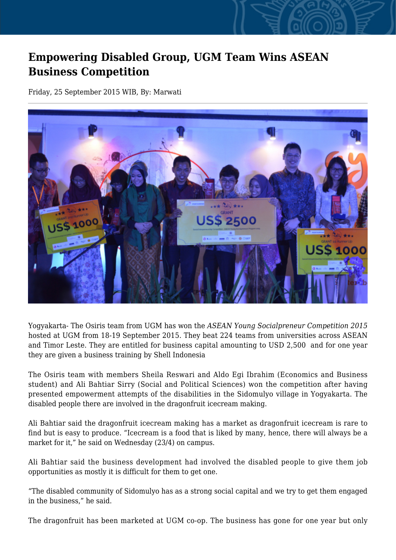## **Empowering Disabled Group, UGM Team Wins ASEAN Business Competition**

Friday, 25 September 2015 WIB, By: Marwati



Yogyakarta- The Osiris team from UGM has won the *ASEAN Young Socialpreneur Competition 2015* hosted at UGM from 18-19 September 2015. They beat 224 teams from universities across ASEAN and Timor Leste. They are entitled for business capital amounting to USD 2,500 and for one year they are given a business training by Shell Indonesia

The Osiris team with members Sheila Reswari and Aldo Egi Ibrahim (Economics and Business student) and Ali Bahtiar Sirry (Social and Political Sciences) won the competition after having presented empowerment attempts of the disabilities in the Sidomulyo village in Yogyakarta. The disabled people there are involved in the dragonfruit icecream making.

Ali Bahtiar said the dragonfruit icecream making has a market as dragonfruit icecream is rare to find but is easy to produce. "Icecream is a food that is liked by many, hence, there will always be a market for it," he said on Wednesday (23/4) on campus.

Ali Bahtiar said the business development had involved the disabled people to give them job opportunities as mostly it is difficult for them to get one.

"The disabled community of Sidomulyo has as a strong social capital and we try to get them engaged in the business," he said.

The dragonfruit has been marketed at UGM co-op. The business has gone for one year but only